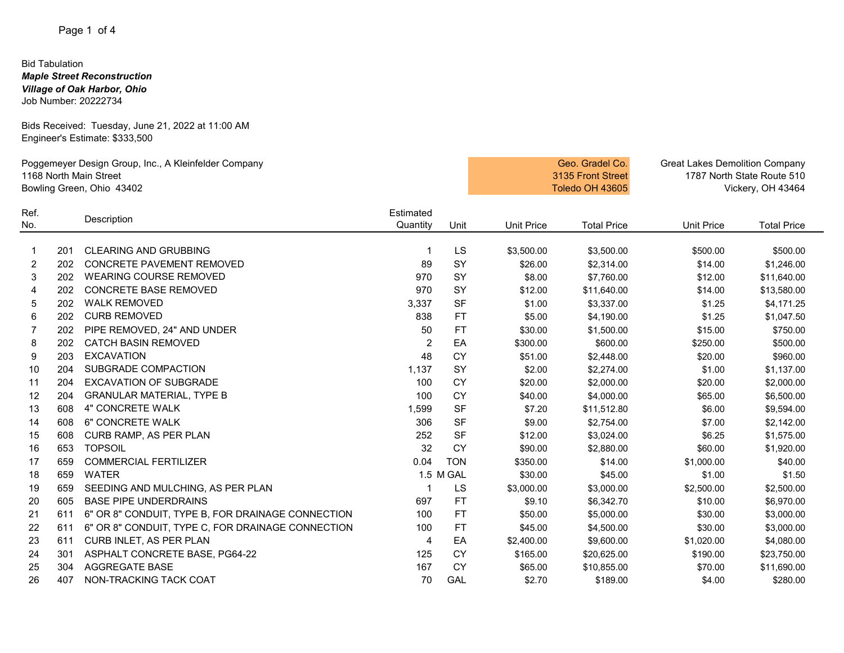### Bid Tabulation *Maple Street Reconstruction Village of Oak Harbor, Ohio* Job Number: 20222734

Bids Received: Tuesday, June 21, 2022 at 11:00 AM Engineer's Estimate: \$333,500

| Poggemeyer Design Group, Inc., A Kleinfelder Company<br>1168 North Main Street<br>Bowling Green, Ohio 43402 |            |                                                           |                       |            | Geo. Gradel Co.<br>3135 Front Street<br>Toledo OH 43605 | <b>Great Lakes Demolition Company</b><br>1787 North State Route 510<br>Vickery, OH 43464 |                     |                        |
|-------------------------------------------------------------------------------------------------------------|------------|-----------------------------------------------------------|-----------------------|------------|---------------------------------------------------------|------------------------------------------------------------------------------------------|---------------------|------------------------|
| Ref.<br>No.                                                                                                 |            | Description                                               | Estimated<br>Quantity | Unit       | <b>Unit Price</b>                                       | <b>Total Price</b>                                                                       | <b>Unit Price</b>   | <b>Total Price</b>     |
|                                                                                                             |            |                                                           |                       |            |                                                         |                                                                                          |                     |                        |
| 1<br>$\overline{c}$                                                                                         | 201<br>202 | <b>CLEARING AND GRUBBING</b><br>CONCRETE PAVEMENT REMOVED | 89                    | LS<br>SY   | \$3,500.00<br>\$26.00                                   | \$3,500.00                                                                               | \$500.00<br>\$14.00 | \$500.00<br>\$1,246.00 |
| 3                                                                                                           | 202        | <b>WEARING COURSE REMOVED</b>                             | 970                   | SY         | \$8.00                                                  | \$2,314.00<br>\$7,760.00                                                                 | \$12.00             | \$11,640.00            |
| 4                                                                                                           | 202        | <b>CONCRETE BASE REMOVED</b>                              | 970                   | <b>SY</b>  | \$12.00                                                 | \$11,640.00                                                                              | \$14.00             | \$13,580.00            |
| 5                                                                                                           | 202        | <b>WALK REMOVED</b>                                       | 3,337                 | <b>SF</b>  | \$1.00                                                  | \$3,337.00                                                                               | \$1.25              | \$4,171.25             |
| 6                                                                                                           | 202        | <b>CURB REMOVED</b>                                       | 838                   | FT         | \$5.00                                                  | \$4,190.00                                                                               | \$1.25              | \$1,047.50             |
| 7                                                                                                           | 202        | PIPE REMOVED, 24" AND UNDER                               | 50                    | FT         | \$30.00                                                 | \$1,500.00                                                                               | \$15.00             | \$750.00               |
| 8                                                                                                           | 202        | <b>CATCH BASIN REMOVED</b>                                | 2                     | EA         | \$300.00                                                | \$600.00                                                                                 | \$250.00            | \$500.00               |
| 9                                                                                                           | 203        | <b>EXCAVATION</b>                                         | 48                    | <b>CY</b>  | \$51.00                                                 | \$2,448.00                                                                               | \$20.00             | \$960.00               |
| 10                                                                                                          | 204        | SUBGRADE COMPACTION                                       | 1,137                 | SY         | \$2.00                                                  | \$2,274.00                                                                               | \$1.00              | \$1,137.00             |
| 11                                                                                                          | 204        | <b>EXCAVATION OF SUBGRADE</b>                             | 100                   | <b>CY</b>  | \$20.00                                                 | \$2,000.00                                                                               | \$20.00             | \$2,000.00             |
| 12                                                                                                          | 204        | <b>GRANULAR MATERIAL, TYPE B</b>                          | 100                   | <b>CY</b>  | \$40.00                                                 | \$4,000.00                                                                               | \$65.00             | \$6,500.00             |
| 13                                                                                                          | 608        | 4" CONCRETE WALK                                          | 1,599                 | <b>SF</b>  | \$7.20                                                  | \$11,512.80                                                                              | \$6.00              | \$9,594.00             |
| 14                                                                                                          | 608        | 6" CONCRETE WALK                                          | 306                   | <b>SF</b>  | \$9.00                                                  | \$2,754.00                                                                               | \$7.00              | \$2,142.00             |
| 15                                                                                                          | 608        | CURB RAMP, AS PER PLAN                                    | 252                   | <b>SF</b>  | \$12.00                                                 | \$3,024.00                                                                               | \$6.25              | \$1,575.00             |
| 16                                                                                                          | 653        | <b>TOPSOIL</b>                                            | 32                    | <b>CY</b>  | \$90.00                                                 | \$2,880.00                                                                               | \$60.00             | \$1,920.00             |
| 17                                                                                                          | 659        | <b>COMMERCIAL FERTILIZER</b>                              | 0.04                  | <b>TON</b> | \$350.00                                                | \$14.00                                                                                  | \$1,000.00          | \$40.00                |
| 18                                                                                                          | 659        | <b>WATER</b>                                              |                       | 1.5 M GAL  | \$30.00                                                 | \$45.00                                                                                  | \$1.00              | \$1.50                 |
| 19                                                                                                          | 659        | SEEDING AND MULCHING, AS PER PLAN                         |                       | LS         | \$3,000.00                                              | \$3,000.00                                                                               | \$2,500.00          | \$2,500.00             |
| 20                                                                                                          | 605        | <b>BASE PIPE UNDERDRAINS</b>                              | 697                   | <b>FT</b>  | \$9.10                                                  | \$6,342.70                                                                               | \$10.00             | \$6,970.00             |
| 21                                                                                                          | 611        | 6" OR 8" CONDUIT, TYPE B, FOR DRAINAGE CONNECTION         | 100                   | <b>FT</b>  | \$50.00                                                 | \$5,000.00                                                                               | \$30.00             | \$3,000.00             |
| 22                                                                                                          | 611        | 6" OR 8" CONDUIT, TYPE C, FOR DRAINAGE CONNECTION         | 100                   | <b>FT</b>  | \$45.00                                                 | \$4,500.00                                                                               | \$30.00             | \$3,000.00             |
| 23                                                                                                          | 611        | CURB INLET, AS PER PLAN                                   | 4                     | EA         | \$2,400.00                                              | \$9,600.00                                                                               | \$1,020.00          | \$4,080.00             |
| 24                                                                                                          | 301        | ASPHALT CONCRETE BASE, PG64-22                            | 125                   | <b>CY</b>  | \$165.00                                                | \$20,625.00                                                                              | \$190.00            | \$23,750.00            |
| 25                                                                                                          | 304        | <b>AGGREGATE BASE</b>                                     | 167                   | <b>CY</b>  | \$65.00                                                 | \$10,855.00                                                                              | \$70.00             | \$11,690.00            |
| 26                                                                                                          | 407        | NON-TRACKING TACK COAT                                    | 70                    | GAL        | \$2.70                                                  | \$189.00                                                                                 | \$4.00              | \$280.00               |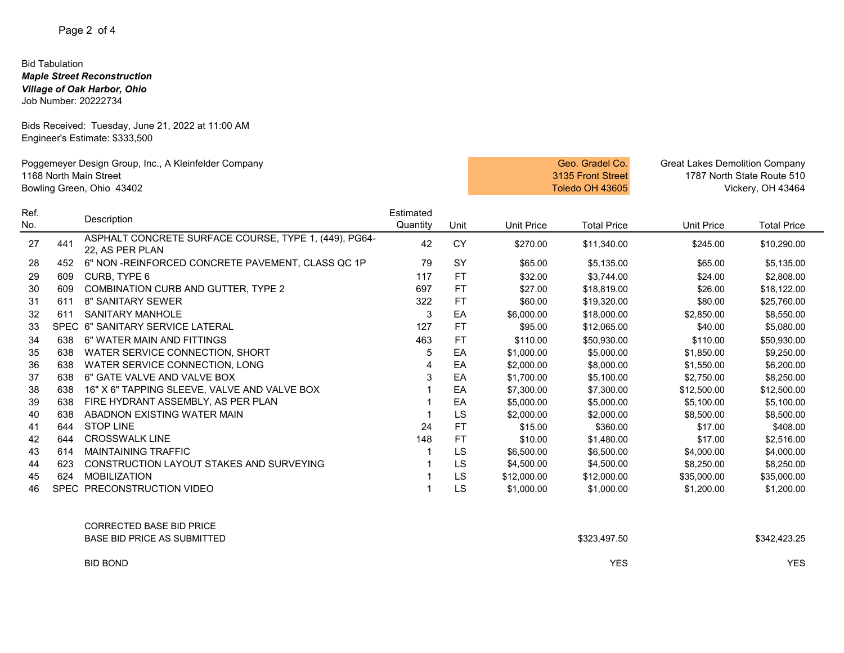# Bid Tabulation

*Maple Street Reconstruction Village of Oak Harbor, Ohio*

Job Number: 20222734

Bids Received: Tuesday, June 21, 2022 at 11:00 AM Engineer's Estimate: \$333,500

| Poggemeyer Design Group, Inc., A Kleinfelder Company<br>1168 North Main Street<br>Bowling Green, Ohio 43402 |             |                                                                          |                       |           |                   | Geo. Gradel Co.<br>3135 Front Street<br>Toledo OH 43605 | <b>Great Lakes Demolition Company</b><br>1787 North State Route 510<br>Vickery, OH 43464 |                    |
|-------------------------------------------------------------------------------------------------------------|-------------|--------------------------------------------------------------------------|-----------------------|-----------|-------------------|---------------------------------------------------------|------------------------------------------------------------------------------------------|--------------------|
| Ref.<br>No.                                                                                                 |             | Description                                                              | Estimated<br>Quantity | Unit      | <b>Unit Price</b> | <b>Total Price</b>                                      | <b>Unit Price</b>                                                                        | <b>Total Price</b> |
| 27                                                                                                          | 441         | ASPHALT CONCRETE SURFACE COURSE, TYPE 1, (449), PG64-<br>22. AS PER PLAN | 42                    | CY        | \$270.00          | \$11,340.00                                             | \$245.00                                                                                 | \$10,290.00        |
| 28                                                                                                          | 452         | 6" NON -REINFORCED CONCRETE PAVEMENT, CLASS QC 1P                        | 79                    | <b>SY</b> | \$65.00           | \$5,135.00                                              | \$65.00                                                                                  | \$5,135.00         |
| 29                                                                                                          | 609         | CURB, TYPE 6                                                             | 117                   | <b>FT</b> | \$32.00           | \$3.744.00                                              | \$24.00                                                                                  | \$2,808.00         |
| 30                                                                                                          | 609         | <b>COMBINATION CURB AND GUTTER, TYPE 2</b>                               | 697                   | <b>FT</b> | \$27.00           | \$18.819.00                                             | \$26.00                                                                                  | \$18,122.00        |
| 31                                                                                                          | 611         | 8" SANITARY SEWER                                                        | 322                   | <b>FT</b> | \$60.00           | \$19,320.00                                             | \$80.00                                                                                  | \$25,760.00        |
| 32                                                                                                          | 611         | <b>SANITARY MANHOLE</b>                                                  | 3                     | EA        | \$6,000.00        | \$18,000.00                                             | \$2,850.00                                                                               | \$8,550.00         |
| 33                                                                                                          | <b>SPEC</b> | 6" SANITARY SERVICE LATERAL                                              | 127                   | FT        | \$95.00           | \$12,065.00                                             | \$40.00                                                                                  | \$5,080.00         |
| 34                                                                                                          | 638         | 6" WATER MAIN AND FITTINGS                                               | 463                   | <b>FT</b> | \$110.00          | \$50,930.00                                             | \$110.00                                                                                 | \$50,930.00        |
| 35                                                                                                          | 638         | WATER SERVICE CONNECTION, SHORT                                          | 5                     | EA        | \$1,000.00        | \$5,000.00                                              | \$1,850.00                                                                               | \$9,250.00         |
| 36                                                                                                          | 638         | WATER SERVICE CONNECTION, LONG                                           |                       | EA        | \$2,000.00        | \$8,000.00                                              | \$1,550.00                                                                               | \$6,200.00         |
| 37                                                                                                          | 638         | 6" GATE VALVE AND VALVE BOX                                              | 3                     | EA        | \$1,700.00        | \$5,100.00                                              | \$2,750.00                                                                               | \$8,250.00         |
| 38                                                                                                          | 638         | 16" X 6" TAPPING SLEEVE, VALVE AND VALVE BOX                             |                       | EA        | \$7,300.00        | \$7,300.00                                              | \$12,500.00                                                                              | \$12,500.00        |
| 39                                                                                                          | 638         | FIRE HYDRANT ASSEMBLY, AS PER PLAN                                       |                       | EA        | \$5,000.00        | \$5,000.00                                              | \$5,100.00                                                                               | \$5,100.00         |
| 40                                                                                                          | 638         | ABADNON EXISTING WATER MAIN                                              |                       | LS        | \$2,000.00        | \$2,000.00                                              | \$8,500.00                                                                               | \$8,500.00         |
| 41                                                                                                          | 644         | <b>STOP LINE</b>                                                         | 24                    | FT        | \$15.00           | \$360.00                                                | \$17.00                                                                                  | \$408.00           |
| 42                                                                                                          | 644         | <b>CROSSWALK LINE</b>                                                    | 148                   | <b>FT</b> | \$10.00           | \$1,480.00                                              | \$17.00                                                                                  | \$2,516.00         |
| 43                                                                                                          | 614         | <b>MAINTAINING TRAFFIC</b>                                               |                       | LS        | \$6,500.00        | \$6,500.00                                              | \$4,000.00                                                                               | \$4,000.00         |
| 44                                                                                                          | 623         | CONSTRUCTION LAYOUT STAKES AND SURVEYING                                 |                       | LS        | \$4,500.00        | \$4,500.00                                              | \$8,250.00                                                                               | \$8,250.00         |
| 45                                                                                                          | 624         | <b>MOBILIZATION</b>                                                      |                       | LS        | \$12,000.00       | \$12,000.00                                             | \$35,000.00                                                                              | \$35,000.00        |
| 46                                                                                                          |             | SPEC PRECONSTRUCTION VIDEO                                               |                       | LS        | \$1,000.00        | \$1,000.00                                              | \$1,200.00                                                                               | \$1,200.00         |

| <b>CORRECTED BASE BID PRICE</b><br>BASE BID PRICE AS SUBMITTED | \$323,497.50 | \$342,423.25 |
|----------------------------------------------------------------|--------------|--------------|
| <b>BID BOND</b>                                                | <b>YES</b>   | <b>YES</b>   |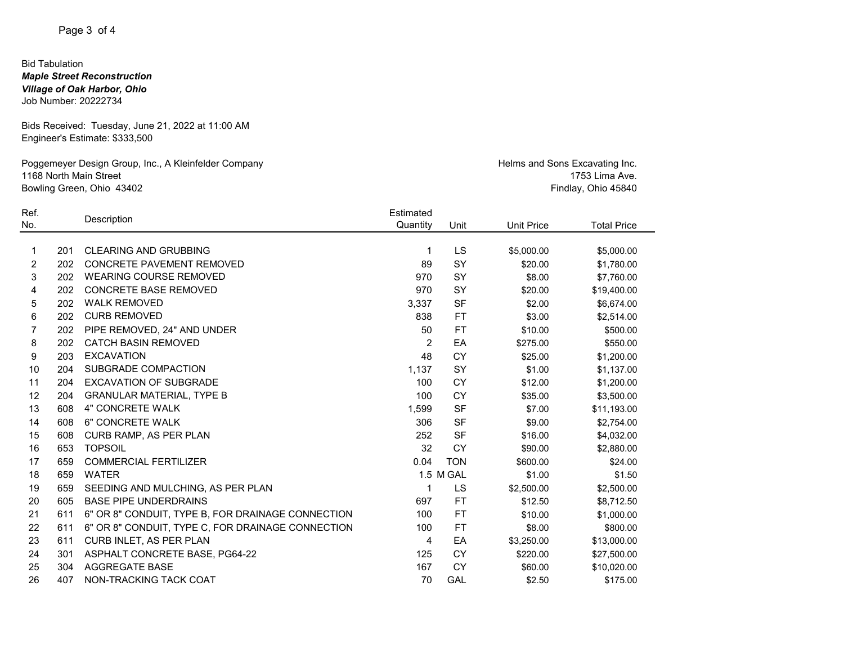## Page 3 of 4

### Bid Tabulation *Maple Street Reconstruction Village of Oak Harbor, Ohio* Job Number: 20222734

Bids Received: Tuesday, June 21, 2022 at 11:00 AM Engineer's Estimate: \$333,500

Poggemeyer Design Group, Inc., A Kleinfelder Company 1168 North Main Street Bowling Green, Ohio 43402

Helms and Sons Excavating Inc. 1753 Lima Ave. Findlay, Ohio 45840

| Ref. |     | Description                                       | Estimated      |            |                   |                    |
|------|-----|---------------------------------------------------|----------------|------------|-------------------|--------------------|
| No.  |     |                                                   | Quantity       | Unit       | <b>Unit Price</b> | <b>Total Price</b> |
| 1    | 201 | <b>CLEARING AND GRUBBING</b>                      | 1              | LS         | \$5,000.00        | \$5,000.00         |
| 2    | 202 | <b>CONCRETE PAVEMENT REMOVED</b>                  | 89             | SY         | \$20.00           | \$1,780.00         |
| 3    | 202 | <b>WEARING COURSE REMOVED</b>                     | 970            | SY         | \$8.00            | \$7,760.00         |
| 4    | 202 | <b>CONCRETE BASE REMOVED</b>                      | 970            | SY         | \$20.00           | \$19,400.00        |
| 5    | 202 | <b>WALK REMOVED</b>                               | 3,337          | <b>SF</b>  | \$2.00            | \$6,674.00         |
| 6    | 202 | <b>CURB REMOVED</b>                               | 838            | FT         | \$3.00            | \$2,514.00         |
|      | 202 | PIPE REMOVED, 24" AND UNDER                       | 50             | <b>FT</b>  | \$10.00           | \$500.00           |
| 8    | 202 | <b>CATCH BASIN REMOVED</b>                        | $\overline{2}$ | EA         | \$275.00          | \$550.00           |
| 9    | 203 | <b>EXCAVATION</b>                                 | 48             | <b>CY</b>  | \$25.00           | \$1,200.00         |
| 10   | 204 | SUBGRADE COMPACTION                               | 1,137          | <b>SY</b>  | \$1.00            | \$1,137.00         |
| 11   | 204 | <b>EXCAVATION OF SUBGRADE</b>                     | 100            | CY         | \$12.00           | \$1,200.00         |
| 12   | 204 | <b>GRANULAR MATERIAL, TYPE B</b>                  | 100            | <b>CY</b>  | \$35.00           | \$3,500.00         |
| 13   | 608 | 4" CONCRETE WALK                                  | 1,599          | <b>SF</b>  | \$7.00            | \$11,193.00        |
| 14   | 608 | 6" CONCRETE WALK                                  | 306            | <b>SF</b>  | \$9.00            | \$2,754.00         |
| 15   | 608 | CURB RAMP, AS PER PLAN                            | 252            | <b>SF</b>  | \$16.00           | \$4,032.00         |
| 16   | 653 | <b>TOPSOIL</b>                                    | 32             | <b>CY</b>  | \$90.00           | \$2,880.00         |
| 17   | 659 | <b>COMMERCIAL FERTILIZER</b>                      | 0.04           | <b>TON</b> | \$600.00          | \$24.00            |
| 18   | 659 | <b>WATER</b>                                      |                | 1.5 M GAL  | \$1.00            | \$1.50             |
| 19   | 659 | SEEDING AND MULCHING, AS PER PLAN                 | 1              | LS         | \$2,500.00        | \$2,500.00         |
| 20   | 605 | <b>BASE PIPE UNDERDRAINS</b>                      | 697            | <b>FT</b>  | \$12.50           | \$8,712.50         |
| 21   | 611 | 6" OR 8" CONDUIT, TYPE B, FOR DRAINAGE CONNECTION | 100            | FT         | \$10.00           | \$1,000.00         |
| 22   | 611 | 6" OR 8" CONDUIT, TYPE C, FOR DRAINAGE CONNECTION | 100            | FT         | \$8.00            | \$800.00           |
| 23   | 611 | CURB INLET, AS PER PLAN                           | 4              | EA         | \$3,250.00        | \$13,000.00        |
| 24   | 301 | ASPHALT CONCRETE BASE, PG64-22                    | 125            | <b>CY</b>  | \$220.00          | \$27,500.00        |
| 25   | 304 | <b>AGGREGATE BASE</b>                             | 167            | СY         | \$60.00           | \$10,020.00        |
| 26   | 407 | NON-TRACKING TACK COAT                            | 70             | GAL        | \$2.50            | \$175.00           |